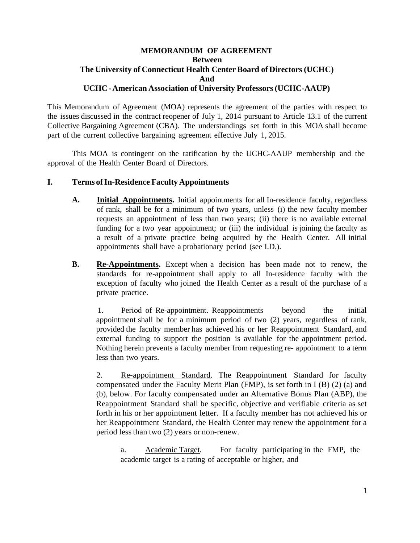# **MEMORANDUM OF AGREEMENT Between The University of Connecticut Health Center Board of Directors (UCHC) And UCHC-American Association of University Professors(UCHC-AAUP)**

This Memorandum of Agreement (MOA) represents the agreement of the parties with respect to the issues discussed in the contract reopener of July 1, 2014 pursuant to Article 13.1 of the current Collective Bargaining Agreement (CBA). The understandings set forth in this MOA shall become part of the current collective bargaining agreement effective July 1, 2015.

This MOA is contingent on the ratification by the UCHC-AAUP membership and the approval of the Health Center Board of Directors.

#### **I. Terms ofIn-Residence Faculty Appointments**

- **A. Initial Appointments.** Initial appointments for all In-residence faculty, regardless of rank, shall be for a minimum of two years, unless (i) the new faculty member requests an appointment of less than two years; (ii) there is no available external funding for a two year appointment; or (iii) the individual is joining the faculty as a result of a private practice being acquired by the Health Center. All initial appointments shall have a probationary period (see I.D.).
- **B. Re-Appointments.** Except when a decision has been made not to renew, the standards for re-appointment shall apply to all In-residence faculty with the exception of faculty who joined the Health Center as a result of the purchase of a private practice.

1. Period of Re-appointment. Reappointments beyond the initial appointment shall be for a minimum period of two (2) years, regardless of rank, provided the faculty member has achieved his or her Reappointment Standard, and external funding to support the position is available for the appointment period. Nothing herein prevents a faculty member from requesting re- appointment to a term less than two years.

2. Re-appointment Standard. The Reappointment Standard for faculty compensated under the Faculty Merit Plan (FMP), is set forth in I (B) (2) (a) and (b), below. For faculty compensated under an Alternative Bonus Plan (ABP), the Reappointment Standard shall be specific, objective and verifiable criteria as set forth in his or her appointment letter. If a faculty member has not achieved his or her Reappointment Standard, the Health Center may renew the appointment for a period lessthan two (2) years or non-renew.

a. Academic Target. For faculty participating in the FMP, the academic target is a rating of acceptable or higher, and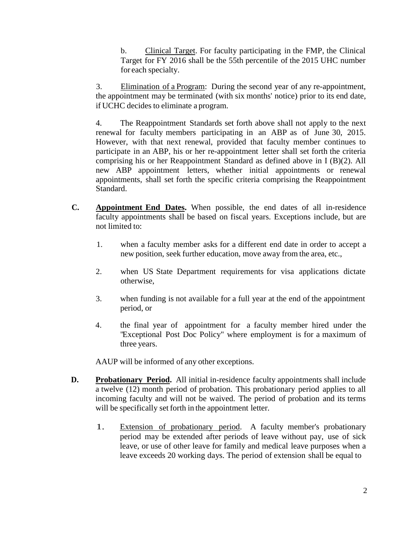b. Clinical Target. For faculty participating in the FMP, the Clinical Target for FY 2016 shall be the 55th percentile of the 2015 UHC number for each specialty.

3. Elimination of a Program: During the second year of any re-appointment, the appointment may be terminated (with six months' notice) prior to its end date, if UCHC decides to eliminate a program.

4. The Reappointment Standards set forth above shall not apply to the next renewal for faculty members participating in an ABP as of June 30, 2015. However, with that next renewal, provided that faculty member continues to participate in an ABP, his or her re-appointment letter shall set forth the criteria comprising his or her Reappointment Standard as defined above in I (B)(2). All new ABP appointment letters, whether initial appointments or renewal appointments, shall set forth the specific criteria comprising the Reappointment Standard.

- **C. Appointment End Dates.** When possible, the end dates of all in-residence faculty appointments shall be based on fiscal years. Exceptions include, but are not limited to:
	- 1. when a faculty member asks for a different end date in order to accept a new position, seek further education, move away from the area, etc.,
	- 2. when US State Department requirements for visa applications dictate otherwise,
	- 3. when funding is not available for a full year at the end of the appointment period, or
	- 4. the final year of appointment for a faculty member hired under the "Exceptional Post Doc Policy" where employment is for a maximum of three years.

AAUP will be informed of any other exceptions.

- **D. Probationary Period.** All initial in-residence faculty appointments shall include a twelve (12) month period of probation. This probationary period applies to all incoming faculty and will not be waived. The period of probation and its terms will be specifically set forth in the appointment letter.
	- 1. Extension of probationary period. A faculty member's probationary period may be extended after periods of leave without pay, use of sick leave, or use of other leave for family and medical leave purposes when a leave exceeds 20 working days. The period of extension shall be equal to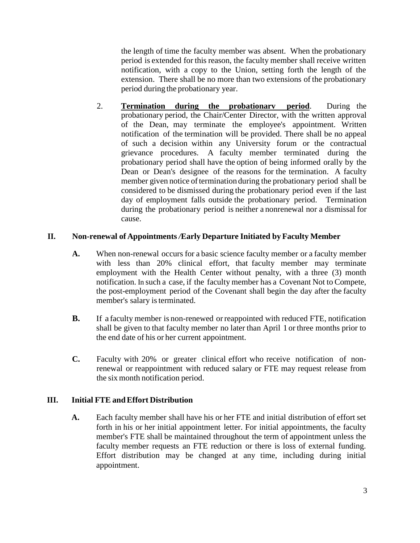the length of time the faculty member was absent. When the probationary period is extended for this reason, the faculty member shall receive written notification, with a copy to the Union, setting forth the length of the extension. There shall be no more than two extensions of the probationary period during the probationary year.

2. **Termination during the probationarv period**. During the probationary period, the Chair/Center Director, with the written approval of the Dean, may terminate the employee's appointment. Written notification of the termination will be provided. There shall be no appeal of such a decision within any University forum or the contractual grievance procedures. A faculty member terminated during the probationary period shall have the option of being informed orally by the Dean or Dean's designee of the reasons for the termination. A faculty member given notice of termination during the probationary period shall be considered to be dismissed during the probationary period even if the last day of employment falls outside the probationary period. Termination during the probationary period is neither a nonrenewal nor a dismissal for cause.

## **II. Non-renewal of Appointments** */***Early Departure Initiated by Faculty Member**

- **A.** When non-renewal occurs for a basic science faculty member or a faculty member with less than 20% clinical effort, that faculty member may terminate employment with the Health Center without penalty, with a three (3) month notification. In such a case, if the faculty member has a Covenant Not to Compete, the post-employment period of the Covenant shall begin the day after the faculty member's salary is terminated.
- **B.** If a faculty member is non-renewed or reappointed with reduced FTE, notification shall be given to that faculty member no later than April 1 or three months prior to the end date of his or her current appointment.
- **C.** Faculty with 20% or greater clinical effort who receive notification of nonrenewal or reappointment with reduced salary or FTE may request release from the six month notification period.

# **III. Initial FTE andEffort Distribution**

**A.** Each faculty member shall have his or her FTE and initial distribution of effort set forth in his or her initial appointment letter. For initial appointments, the faculty member's FTE shall be maintained throughout the term of appointment unless the faculty member requests an FTE reduction or there is loss of external funding. Effort distribution may be changed at any time, including during initial appointment.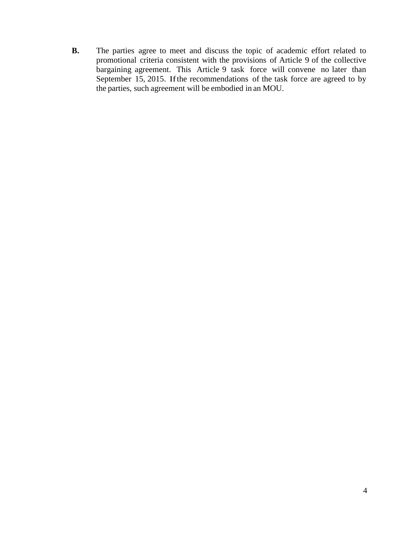**B.** The parties agree to meet and discuss the topic of academic effort related to promotional criteria consistent with the provisions of Article 9 of the collective bargaining agreement. This Article 9 task force will convene no later than September 15, 2015. Ifthe recommendations of the task force are agreed to by the parties, such agreement will be embodied in an MOU.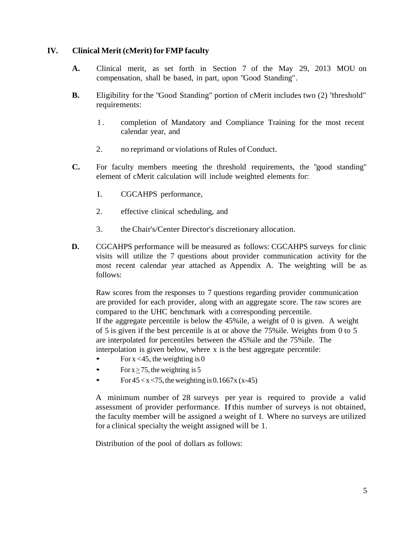## **IV. Clinical Merit (cMerit) for FMP faculty**

- **A.** Clinical merit, as set forth in Section 7 of the May 29, 2013 MOU on compensation, shall be based, in part, upon "Good Standing".
- **B.** Eligibility for the "Good Standing" portion of cMerit includes two (2) "threshold" requirements:
	- 1 . completion of Mandatory and Compliance Training for the most recent calendar year, and
	- 2. no reprimand or violations of Rules of Conduct.
- **C.** For faculty members meeting the threshold requirements, the "good standing" element of cMerit calculation will include weighted elements for:
	- I. CGCAHPS performance,
	- 2. effective clinical scheduling, and
	- 3. the Chair's/Center Director's discretionary allocation.
- **D.** CGCAHPS performance will be measured as follows: CGCAHPS surveys for clinic visits will utilize the 7 questions about provider communication activity for the most recent calendar year attached as Appendix A. The weighting will be as follows:

Raw scores from the responses to 7 questions regarding provider communication are provided for each provider, along with an aggregate score. The raw scores are compared to the UHC benchmark with a corresponding percentile. If the aggregate percentile is below the 45%ile, a weight of 0 is given. A weight of 5 is given if the best percentile is at or above the 75%ile. Weights from 0 to 5 are interpolated for percentiles between the 45%ile and the 75%ile. The

interpolation is given below, where x is the best aggregate percentile:

- For  $x < 45$ , the weighting is 0
- For  $x \ge 75$ , the weighting is 5
- For  $45 < x < 75$ , the weighting is 0.1667x (x-45)

A minimum number of 28 surveys per year is required to provide a valid assessment of provider performance. Ifthis number of surveys is not obtained, the faculty member will be assigned a weight of I. Where no surveys are utilized for a clinical specialty the weight assigned will be 1.

Distribution of the pool of dollars as follows: